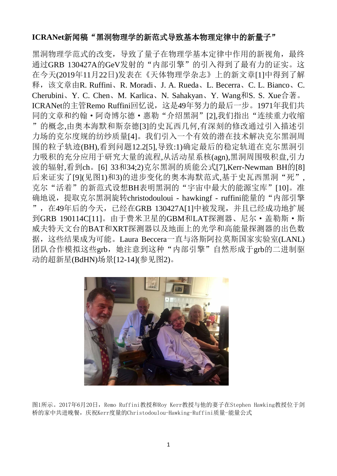## **ICRANet**新闻稿"黑洞物理学的新范式导致基本物理定律中的新量子"

黑洞物理学范式的改变,导致了量子在物理学基本定律中作用的新视角,最终 通过GRB 130427A的GeV发射的"内部引擎"的引入得到了最有力的证实。这 在今天(2019年11月22日)发表在《天体物理学杂志》上的新文章[1]中得到了解 释,该文章由R. Ruffini、R. Moradi、J. A. Rueda、L. Becerra、C. L. Bianco、C. Cherubini、Y. C. Chen、M. Karlica、N. Sahakyan、Y. Wang和S. S. Xue合著。 ICRANet的主管Remo Ruffini回忆说,这是49年努力的最后一步。1971年我们共 同的文章和约翰·阿奇博尔德·惠勒"介绍黑洞"[2],我们指出"连续重力收缩 "的概念,由奥本海默和斯奈德[3]的史瓦西几何,有深刻的修改通过引入描述引 力场的克尔度规的纺纱质量[4]。我们引入一个有效的潜在技术解决克尔黑洞周 围的粒子轨迹(BH),看到问题12.2[5],导致:1)确定最后的稳定轨道在克尔黑洞引 力吸积的充分应用于研究大量的流程,从活动星系核(agn),黑洞周围吸积盘,引力 波的辐射,看到ch。[6] 33和34:2)克尔黑洞的质能公式[7],Kerr-Newman BH的[8] 后来证实了[9](见图1)和3)的进步变化的奥本海默范式,基于史瓦西黑洞"死", 克尔"活着"的新范式设想BH表明黑洞的"宇宙中最大的能源宝库"[10]。准 确地说, 提取克尔黑洞旋转christodouloui - hawkingf - ruffini能量的"内部引擎 ",在49年后的今天,已经在GRB 130427A[1]中被发现,并且已经成功地扩展 到GRB 190114C[11]。由于费米卫星的GBM和LAT探测器、尼尔·盖勒斯·斯 威夫特天文台的BAT和XRT探测器以及地面上的光学和高能量探测器的出色数 据,这些结果成为可能。Laura Beccera一直与洛斯阿拉莫斯国家实验室(LANL) 团队合作模拟这些grb,她注意到这种"内部引擎"自然形成于grb的二进制驱 动的超新星(BdHN)场景[12-14](参见图2)。



图1所示。2017年6月20日,Remo Ruffini教授和Roy Kerr教授与他的妻子在Stephen Hawking教授位于剑 桥的家中共进晚餐,庆祝Kerr度量的Christodoulou-Hawking-Ruffini质量-能量公式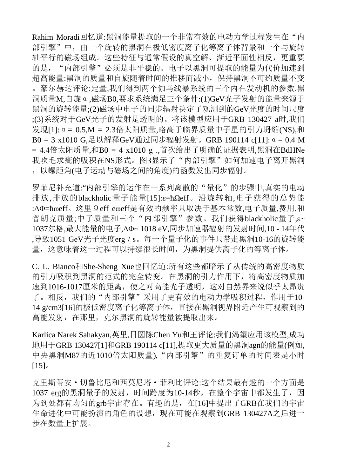Rahim Moradi回忆道:黑洞能量提取的一个非常有效的电动力学过程发生在"内 部引擎"中,由一个旋转的黑洞在极低密度离子化等离子体背景和一个与旋转 轴平行的磁场组成。这些特征与通常假设的真空解、渐近平面性相反,更重要 的是, "内部引擎"必须是非平稳的。电子以黑洞可提取的能量为代价加速到 超高能量:黑洞的质量和自旋随着时间的推移而减小,保持黑洞不可约质量不变 。豪尔赫达评论:定量,我们得到两个伽马线暴系统的三个内在发动机的参数,黑 洞质量M,自旋α,磁场B0,要求系统满足三个条件:(1)GeV光子发射的能量来源于 黑洞的旋转能量;(2)磁场中电子的同步辐射决定了观测到的GeV光度的时间尺度 ;(3)系统对于GeV光子的发射是透明的。将该模型应用于GRB 130427 a时,我们 发现[1]:α= 0.5,M = 2.3倍太阳质量,略高于临界质量中子星的引力坍缩(NS),和 B0 = 3 x1010 G,足以解释GeV通过同步辐射发射。GRB 190114 c[11]:α= 0.4 M = 4.4倍太阳质量,和B0 = 4 x1010 g .,首次给出了明确的证据表明,黑洞在BdHNe 我吹毛求疵的吸积在NS形式。图3显示了"内部引擎"如何加速电子离开黑洞 ,以螺距角(电子运动与磁场之间的角度)的函数发出同步辐射。

罗菲尼补充道:"内部引擎的运作在一系列离散的"量化"的步骤中,真实的电动 排放,排放的blackholic量子能量[15]:ε=ħΩeff。沿旋转轴,电子获得的总势能 :ΔΦ=ħωeff。这里Ωeff eωeff是有效的频率只取决于基本常数,电子质量,费用,和 普朗克质量;中子质量和三个"内部引擎"参数。我们获得blackholic量子,ε~ 1037尔格,最大能量的电子,ΔΦ~ 1018 eV,同步加速器辐射的发射时间,10 - 14年代 ,导致1051 GeV光子光度erg / s。每一个量子化的事件只带走黑洞10-16的旋转能 量,这意味着这一过程可以持续很长时间,为黑洞提供离子化的等离子体。

C. L. Bianco和She-Sheng Xue也回忆道:所有这些都暗示了从传统的高密度物质 的引力吸积到黑洞的范式的完全转变。在黑洞的引力作用下,将高密度物质加 速到1016-1017厘米的距离,使之对高能光子透明,这对自然界来说似乎太昂贵 了。相反,我们的"内部引擎"采用了更有效的电动力学吸积过程,作用于10-14 g/cm3[16]的极低密度离子化等离子体,直接在黑洞视界附近产生可观察到的 高能发射,在那里,克尔黑洞的旋转能量被提取出来。

Karlica Narek Sahakyan,英里,日圆陈Chen Yu和王评论:我们渴望应用该模型,成功 地用于GRB 130427[1]和GRB 190114 c[11],提取更大质量的黑洞agn的能量(例如, 中央黑洞M87的近1010倍太阳质量), "内部引擎"的重复订单的时间表是小时  $[15]$ 

克里斯蒂安·切鲁比尼和西莫尼塔·菲利比评论:这个结果最有趣的一个方面是 1037 erg的黑洞量子的发射, 时间跨度为10-14秒, 在整个宇宙中都发生了, 因 为到处都有均匀的grb宇宙存在。有趣的是,在[16]中提出了GRB在我们的宇宙 生命进化中可能扮演的角色的设想,现在可能在观察到GRB 130427A之后进一 步在数量上扩展。

2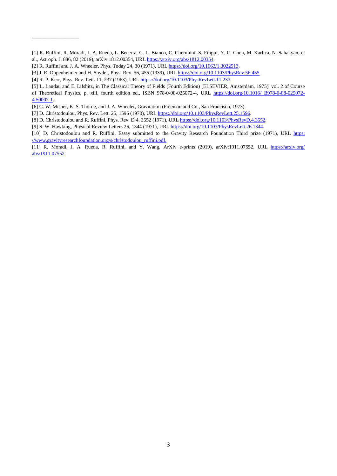- [1] R. Ruffini, R. Moradi, J. A. Rueda, L. Becerra, C. L. Bianco, C. Cherubini, S. Filippi, Y. C. Chen, M. Karlica, N. Sahakyan, et al., Astroph. J. 886, 82 (2019), arXiv:1812.00354, UR[L https://arxiv.org/abs/1812.00354.](https://arxiv.org/abs/1812.00354)
- [2] R. Ruffini and J. A. Wheeler, Phys. Today 24, 30 (1971), URL https://doi.org/10.1063/1.3022513.
- [3] J. R. Oppenheimer and H. Snyder, Phys. Rev. 56, 455 (1939), UR[L https://doi.org/10.1103/PhysRev.56.455.](https://doi.org/10.1103/PhysRev.56.455)

[4] R. P. Kerr, Phys. Rev. Lett. 11, 237 (1963), UR[L https://doi.org/10.1103/PhysRevLett.11.237.](https://doi.org/10.1103/PhysRevLett.11.237)

\_\_\_\_\_\_\_\_\_\_\_\_\_\_\_

[5] L. Landau and E. Lifshitz, in The Classical Theory of Fields (Fourth Edition) (ELSEVIER, Amsterdam, 1975), vol. 2 of Course of Theoretical Physics, p. xiii, fourth edition ed., ISBN 978-0-08-025072-4, URL https://doi.org/10.1016/ B978-0-08-025072- 4.50007-1 .

[6] C. W. Misner, K. S. Thorne, and J. A. Wheeler, Gravitation (Freeman and Co., San Francisco, 1973).

[7] D. Christodoulou, Phys. Rev. Lett. 25, 1596 (1970), URL [https://doi.org/10.1103/PhysRevLett.25.1596.](https://doi.org/10.1103/PhysRevLett.25.1596)

[8] D. Christodoulou and R. Ruffini, Phys. Rev. D 4, 3552 (1971), URL https://doi.org/10.1103/PhysRevD.4.3552.

[9] S. W. Hawking, Physical Review Letters 26, 1344 (1971), UR[L https://doi.org/10.1103/PhysRevLett.26.1344.](https://doi.org/10.1103/PhysRevLett.26.1344)

[10] D. Christodoulou and R. Ruffini, Essay submitted to the Gravity Research Foundation Third prize (1971), URL https: //www.gravityresearchfoundation.org/s/christodoulou\_ruffini.pdf.

[11] R. Moradi, J. A. Rueda, R. Ruffini, and Y. Wang, ArXiv e-prints (2019), arXiv:1911.07552, URL https://arxiv.org/ abs/1911.07552.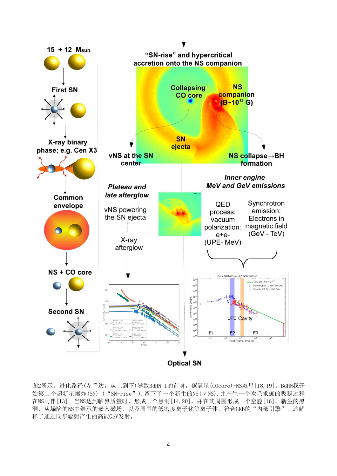

图2所示。进化路径(左手边,从上到下)导致BdHN I的前身,碳氧星(COcore)-NS双星[18,19]。BdHN我开 始第二个超新星爆炸(SN) ("SN-rise"),留下了一个新生的NS(νNS),并产生一个吹毛求疵的吸积过程 在NS同伴[13]。当NS达到临界质量时,形成一个黑洞[14,20],并在其周围形成一个空腔[16]。新生的黑 洞,从塌陷的NS中继承的嵌入磁场,以及周围的低密度离子化等离子体,符合GRB的"内部引擎",这解 释了通过同步辐射产生的高能GeV发射。